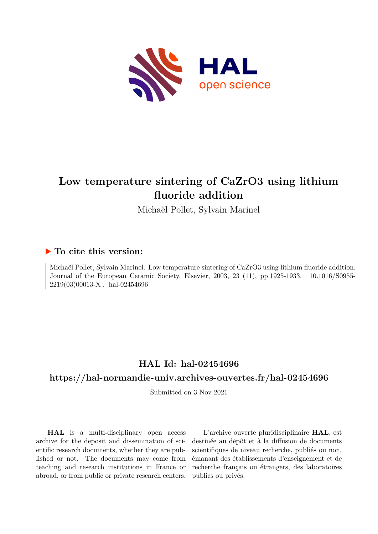

# **Low temperature sintering of CaZrO3 using lithium fluoride addition**

Michaël Pollet, Sylvain Marinel

# **To cite this version:**

Michaël Pollet, Sylvain Marinel. Low temperature sintering of CaZrO3 using lithium fluoride addition. Journal of the European Ceramic Society, Elsevier, 2003, 23 (11), pp.1925-1933. 10.1016/S0955- $2219(03)00013\text{-X}$  . hal-02454696

# **HAL Id: hal-02454696**

# **<https://hal-normandie-univ.archives-ouvertes.fr/hal-02454696>**

Submitted on 3 Nov 2021

**HAL** is a multi-disciplinary open access archive for the deposit and dissemination of scientific research documents, whether they are published or not. The documents may come from teaching and research institutions in France or abroad, or from public or private research centers.

L'archive ouverte pluridisciplinaire **HAL**, est destinée au dépôt et à la diffusion de documents scientifiques de niveau recherche, publiés ou non, émanant des établissements d'enseignement et de recherche français ou étrangers, des laboratoires publics ou privés.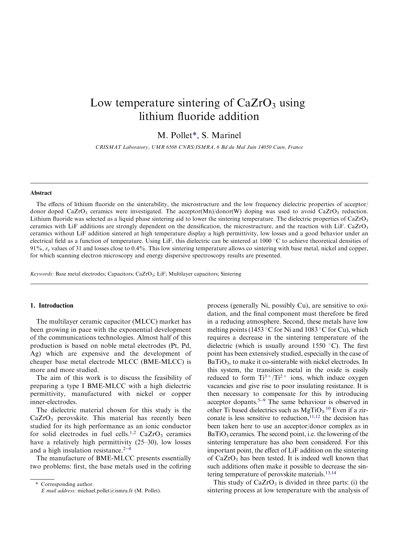# Low temperature sintering of  $CaZrO<sub>3</sub>$  using lithium fluoride addition

M. Pollet\*, S. Marinel

CRISMAT Laboratory, UMR 6508 CNRS/ISMRA, 6 Bd du Mal Juin 14050 Caen, France

#### Abstract

The effects of lithium fluoride on the sinterability, the microstructure and the low frequency dielectric properties of acceptor/ donor doped CaZrO<sub>3</sub> ceramics were investigated. The acceptor(Mn)/donor(W) doping was used to avoid CaZrO<sub>3</sub> reduction. Lithium fluoride was selected as a liquid phase sintering aid to lower the sintering temperature. The dielectric properties of  $CaZrO<sub>3</sub>$ ceramics with LiF additions are strongly dependent on the densification, the microstructure, and the reaction with LiF. CaZrO<sub>3</sub> ceramics without LiF addition sintered at high temperature display a high permittivity, low losses and a good behavior under an electrical field as a function of temperature. Using LiF, this dielectric can be sintered at  $1000\degree C$  to achieve theoretical densities of 91%,  $\varepsilon_r$  values of 31 and losses close to 0.4%. This low sintering temperature allows co sintering with base metal, nickel and copper, for which scanning electron microscopy and energy dispersive spectroscopy results are presented.

Keywords: Base metal electrodes; Capacitors; CaZrO3; LiF; Multilayer capacitors; Sintering

### 1. Introduction

The multilayer ceramic capacitor (MLCC) market has been growing in pace with the exponential development of the communications technologies. Almost half of this production is based on noble metal electrodes (Pt, Pd, Ag) which are expensive and the development of cheaper base metal electrode MLCC (BME-MLCC) is more and more studied.

The aim of this work is to discuss the feasibility of preparing a type I BME-MLCC with a high dielectric permittivity, manufactured with nickel or copper inner-electrodes.

The dielectric material chosen for this study is the  $CaZrO<sub>3</sub>$  perovskite. This material has recently been studied for its high performance as an ionic conductor for solid electrodes in fuel cells.<sup>1,2</sup> CaZrO<sub>3</sub> ceramics have a relatively high permittivity (25–30), low losses and a high insulation resistance. $2-4$ 

The manufacture of BME-MLCC presents essentially two problems: first, the base metals used in the cofiring process (generally Ni, possibly Cu), are sensitive to oxidation, and the final component must therefore be fired in a reducing atmosphere. Second, these metals have low melting points (1453 °C for Ni and 1083 °C for Cu), which requires a decrease in the sintering temperature of the dielectric (which is usually around 1550  $\degree$ C). The first point has been extensively studied, especially in the case of BaTiO<sub>3</sub>, to make it co-sinterable with nickel electrodes. In this system, the transition metal in the oxide is easily reduced to form  $Ti^{3+}/Ti^{2+}$  ions, which induce oxygen vacancies and give rise to poor insulating resistance. It is then necessary to compensate for this by introducing acceptor dopants.<sup>5-9</sup> The same behaviour is observed in other Ti based dielectrics such as  $MgTiO<sub>3</sub>$ .<sup>10</sup> Even if a zirconate is less sensitive to reduction,  $11,12$  the decision has been taken here to use an acceptor/donor complex as in  $BaTiO<sub>3</sub>$  ceramics. The second point, i.e. the lowering of the sintering temperature has also been considered. For this important point, the effect of LiF addition on the sintering of  $CaZrO<sub>3</sub>$  has been tested. It is indeed well known that such additions often make it possible to decrease the sintering temperature of perovskite materials.13,14

This study of  $CaZrO<sub>3</sub>$  is divided in three parts: (i) the sintering process at low temperature with the analysis of

Corresponding author. E mail address: michael.pollet@ismra.fr (M. Pollet).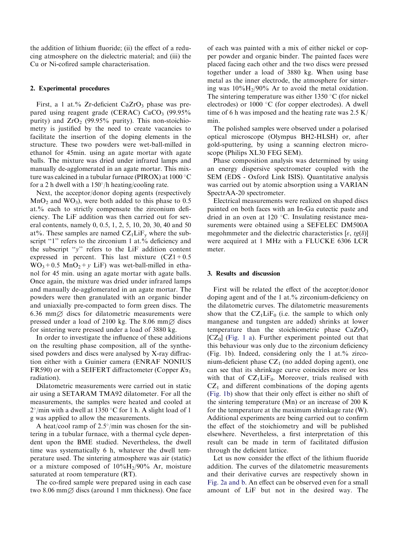the addition of lithium fluoride; (ii) the effect of a reducing atmosphere on the dielectric material; and (iii) the Cu or Ni-cofired sample characterisation.

## 2. Experimental procedures

First, a 1 at.% Zr-deficient CaZrO<sub>3</sub> phase was prepared using reagent grade (CERAC)  $CaCO<sub>3</sub>$  (99.95% purity) and  $ZrO<sub>2</sub>$  (99.95% purity). This non-stoichiometry is justified by the need to create vacancies to facilitate the insertion of the doping elements in the structure. These two powders were wet-ball-milled in ethanol for 45min. using an agate mortar with agate balls. The mixture was dried under infrared lamps and manually de-agglomerated in an agate mortar. This mixture was calcined in a tubular furnace (PIROX) at  $1000\,^{\circ}\text{C}$ for a 2 h dwell with a  $150^{\circ}/h$  heating/cooling rate.

Next, the acceptor/donor doping agents (respectively  $MnO<sub>2</sub>$  and WO<sub>3</sub>), were both added to this phase to 0.5 at.% each to strictly compensate the zirconium deficiency. The LiF addition was then carried out for several contents, namely 0, 0.5, 1, 2, 5, 10, 20, 30, 40 and 50 at%. These samples are named  $CZ_1LiF_v$  where the subscript "1" refers to the zirconium 1 at.% deficiency and the subscript ''y'' refers to the LiF addition content expressed in percent. This last mixture  $(CZ1 + 0.5)$  $WO_3 + 0.5$  MnO<sub>2</sub> + y LiF) was wet-ball-milled in ethanol for 45 min. using an agate mortar with agate balls. Once again, the mixture was dried under infrared lamps and manually de-agglomerated in an agate mortar. The powders were then granulated with an organic binder and uniaxially pre-compacted to form green discs. The 6.36 mm $\varnothing$  discs for dilatometric measurements were pressed under a load of 2100 kg. The 8.06 mm $\varnothing$  discs for sintering were pressed under a load of 3880 kg.

In order to investigate the influence of these additions on the resulting phase composition, all of the synthesised powders and discs were analysed by X-ray diffraction either with a Guinier camera (ENRAF NONIUS FR590) or with a SEIFERT diffractometer (Copper  $K\alpha_1$ ) radiation).

Dilatometric measurements were carried out in static air using a SETARAM TMA92 dilatometer. For all the measurements, the samples were heated and cooled at  $2^{\circ}/$ min with a dwell at 1350 °C for 1 h. A slight load of 1 g was applied to allow the measurements.

A heat/cool ramp of  $2.5^{\circ}/\text{min}$  was chosen for the sintering in a tubular furnace, with a thermal cycle dependent upon the BME studied. Nevertheless, the dwell time was systematically 6 h, whatever the dwell temperature used. The sintering atmosphere was air (static) or a mixture composed of  $10\%H_2/90\%$  Ar, moisture saturated at room temperature (RT).

The co-fired sample were prepared using in each case two 8.06 mm $\varnothing$  discs (around 1 mm thickness). One face of each was painted with a mix of either nickel or copper powder and organic binder. The painted faces were placed facing each other and the two discs were pressed together under a load of 3880 kg. When using base metal as the inner electrode, the atmosphere for sintering was  $10\%H_2/90\%$  Ar to avoid the metal oxidation. The sintering temperature was either  $1350 \degree C$  (for nickel electrodes) or  $1000 \degree C$  (for copper electrodes). A dwell time of 6 h was imposed and the heating rate was  $2.5 \text{ K}$ min.

The polished samples were observed under a polarised optical microscope (Olympus BH2-HLSH) or, after gold-sputtering, by using a scanning electron microscope (Philips XL30 FEG SEM).

Phase composition analysis was determined by using an energy dispersive spectrometer coupled with the SEM (EDS - Oxford Link ISIS). Quantitative analysis was carried out by atomic absorption using a VARIAN SpectrAA-20 spectrometer.

Electrical measurements were realized on shaped discs painted on both faces with an In-Ga eutectic paste and dried in an oven at 120  $^{\circ}$ C. Insulating resistance measurements were obtained using a SEFELEC DM500A megohmmeter and the dielectric characteristics [ $\varepsilon$ , tg( $\delta$ )] were acquired at 1 MHz with a FLUCKE 6306 LCR meter.

# 3. Results and discussion

First will be related the effect of the acceptor/donor doping agent and of the 1 at.% zirconium-deficiency on the dilatometric curves. The dilatometric measurements show that the  $CZ_1LiF_0$  (i.e. the sample to which only manganese and tungsten are added) shrinks at lower temperature than the stoichiometric phase  $CaZrO<sub>3</sub>$  $[CZ_0]$  (Fig. 1 a). Further experiment pointed out that this behaviour was only due to the zirconium deficiency (Fig. 1b). Indeed, considering only the 1 at. $\%$  zirconium-deficient phase  $CZ_1$  (no added doping agent), one can see that its shrinkage curve coincides more or less with that of  $CZ_1LiF_0$ . Moreover, trials realised with  $CZ<sub>1</sub>$  and different combinations of the doping agents (Fig. 1b) show that their only effect is either no shift of the sintering temperature (Mn) or an increase of 200 K for the temperature at the maximum shrinkage rate (W). Additional experiments are being carried out to confirm the effect of the stoichiometry and will be published elsewhere. Nevertheless, a first interpretation of this result can be made in term of facilitated diffusion through the deficient lattice.

Let us now consider the effect of the lithium fluoride addition. The curves of the dilatometric measurements and their derivative curves are respectively shown in Fig. 2a and b. An effect can be observed even for a small amount of LiF but not in the desired way. The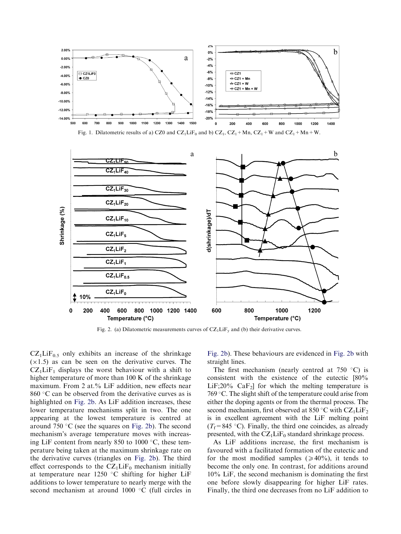

Fig. 1. Dilatometric results of a) CZ0 and CZ<sub>1</sub>LiF<sub>0</sub> and b) CZ<sub>1</sub>, CZ<sub>1</sub> + Mn, CZ<sub>1</sub> + W and CZ<sub>1</sub> + Mn + W.



Fig. 2. (a) Dilatometric measurements curves of  $CZ_1LiF_v$  and (b) their derivative curves.

 $CZ_1LiF_{0.5}$  only exhibits an increase of the shrinkage  $(x1.5)$  as can be seen on the derivative curves. The  $CZ<sub>1</sub>LiF<sub>1</sub>$  displays the worst behaviour with a shift to higher temperature of more than 100 K of the shrinkage maximum. From 2 at.% LiF addition, new effects near  $860$  °C can be observed from the derivative curves as is highlighted on Fig. 2b. As LiF addition increases, these lower temperature mechanisms split in two. The one appearing at the lowest temperature is centred at around 750  $\mathrm{C}$  (see the squares on Fig. 2b). The second mechanism's average temperature moves with increasing LiF content from nearly 850 to 1000 $\degree$ C, these temperature being taken at the maximum shrinkage rate on the derivative curves (triangles on Fig. 2b). The third effect corresponds to the  $CZ<sub>1</sub>LiF<sub>0</sub>$  mechanism initially at temperature near 1250  $\degree$ C shifting for higher LiF additions to lower temperature to nearly merge with the second mechanism at around  $1000$  °C (full circles in

Fig. 2b). These behaviours are evidenced in Fig. 2b with straight lines.

The first mechanism (nearly centred at  $750\degree\text{C}$ ) is consistent with the existence of the eutectic [80%  $LiF:20\%$  CaF<sub>2</sub> for which the melting temperature is 769  $\degree$ C. The slight shift of the temperature could arise from either the doping agents or from the thermal process. The second mechanism, first observed at 850 °C with  $CZ_1LiF_2$ is in excellent agreement with the LiF melting point  $(T_f=845 \degree C)$ . Finally, the third one coincides, as already presented, with the  $CZ_1LiF_0$  standard shrinkage process.

As LiF additions increase, the first mechanism is favoured with a facilitated formation of the eutectic and for the most modified samples ( $\geq 40\%$ ), it tends to become the only one. In contrast, for additions around 10% LiF, the second mechanism is dominating the first one before slowly disappearing for higher LiF rates. Finally, the third one decreases from no LiF addition to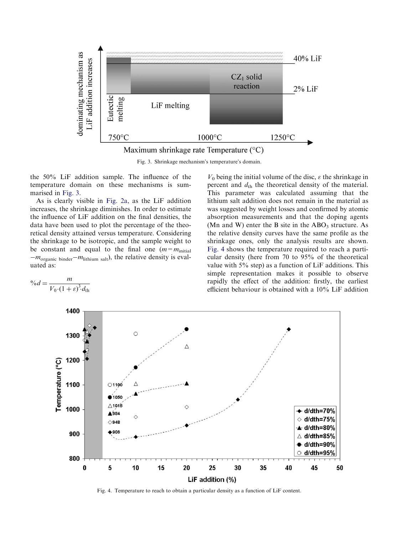

Fig. 3. Shrinkage mechanism's temperature's domain.

the 50% LiF addition sample. The influence of the temperature domain on these mechanisms is summarised in Fig. 3.

As is clearly visible in Fig. 2a, as the LiF addition increases, the shrinkage diminishes. In order to estimate the influence of LiF addition on the final densities, the data have been used to plot the percentage of the theoretical density attained versus temperature. Considering the shrinkage to be isotropic, and the sample weight to be constant and equal to the final one  $(m=m<sub>initial</sub>)$  $-m_{\text{organic binder}}-m_{\text{lithium salt}}$ , the relative density is evaluated as:

$$
\%d = \frac{m}{V_0 \cdot (1+\varepsilon)^3 \cdot d_{\text{th}}}
$$

 $V_0$  being the initial volume of the disc,  $\varepsilon$  the shrinkage in percent and  $d_{\text{th}}$  the theoretical density of the material. This parameter was calculated assuming that the lithium salt addition does not remain in the material as was suggested by weight losses and confirmed by atomic absorption measurements and that the doping agents (Mn and W) enter the B site in the  $ABO<sub>3</sub>$  structure. As the relative density curves have the same profile as the shrinkage ones, only the analysis results are shown. Fig. 4 shows the temperature required to reach a particular density (here from 70 to 95% of the theoretical value with 5% step) as a function of LiF additions. This simple representation makes it possible to observe rapidly the effect of the addition: firstly, the earliest efficient behaviour is obtained with a 10% LiF addition



Fig. 4. Temperature to reach to obtain a particular density as a function of LiF content.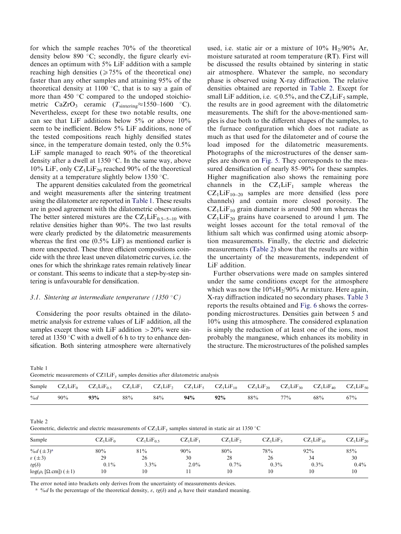for which the sample reaches 70% of the theoretical density below 890  $\degree$ C; secondly, the figure clearly evidences an optimum with 5% LiF addition with a sample reaching high densities  $\approx 75\%$  of the theoretical one) faster than any other samples and attaining 95% of the theoretical density at 1100  $\degree$ C, that is to say a gain of more than 450  $\degree$ C compared to the undoped stoichiometric CaZrO<sub>3</sub> ceramic  $(T_{\text{sintering}} \approx 1550-1600 \text{ °C}).$ Nevertheless, except for these two notable results, one can see that LiF additions below 5% or above 10% seem to be inefficient. Below 5% LiF additions, none of the tested compositions reach highly densified states since, in the temperature domain tested, only the 0.5% LiF sample managed to reach 90% of the theoretical density after a dwell at 1350  $\degree$ C. In the same way, above 10% LiF, only  $CZ_1LiF_{20}$  reached 90% of the theoretical density at a temperature slightly below 1350  $\,^{\circ}$ C.

The apparent densities calculated from the geometrical and weight measurements after the sintering treatment using the dilatometer are reported in Table 1. These results are in good agreement with the dilatometric observations. The better sintered mixtures are the  $CZ_1LiF_{0.5-5-10}$  with relative densities higher than 90%. The two last results were clearly predicted by the dilatometric measurements whereas the first one (0.5% LiF) as mentioned earlier is more unexpected. These three efficient compositions coincide with the three least uneven dilatometric curves, i.e. the ones for which the shrinkage rates remain relatively linear or constant. This seems to indicate that a step-by-step sintering is unfavourable for densification.

## 3.1. Sintering at intermediate temperature (1350 °C)

Considering the poor results obtained in the dilatometric analysis for extreme values of LiF addition, all the samples except those with LiF addition  $>20\%$  were sintered at 1350  $\degree$ C with a dwell of 6 h to try to enhance densification. Both sintering atmosphere were alternatively used, i.e. static air or a mixture of  $10\%$  H<sub>2</sub>/90% Ar, moisture saturated at room temperature (RT). First will be discussed the results obtained by sintering in static air atmosphere. Whatever the sample, no secondary phase is observed using X-ray diffraction. The relative densities obtained are reported in Table 2. Except for small LiF addition, i.e.  $\leq 0.5\%$ , and the CZ<sub>1</sub>LiF<sub>5</sub> sample, the results are in good agreement with the dilatometric measurements. The shift for the above-mentioned samples is due both to the different shapes of the samples, to the furnace configuration which does not radiate as much as that used for the dilatometer and of course the load imposed for the dilatometric measurements. Photographs of the microstructures of the denser samples are shown on Fig. 5. They corresponds to the measured densification of nearly 85–90% for these samples. Higher magnification also shows the remaining pore channels in the  $CZ_1LiF_1$  sample whereas the  $CZ_1LIF_{10-20}$  samples are more densified (less pore channels) and contain more closed porosity. The  $CZ_1LiF_{10}$  grain diameter is around 500 nm whereas the  $CZ_1LiF_{20}$  grains have coarsened to around 1 µm. The weight losses account for the total removal of the lithium salt which was confirmed using atomic absorption measurements. Finally, the electric and dielectric measurements (Table 2) show that the results are within the uncertainty of the measurements, independent of LiF addition.

Further observations were made on samples sintered under the same conditions except for the atmosphere which was now the  $10\%$ H<sub>2</sub>/90% Ar mixture. Here again, X-ray diffraction indicated no secondary phases. Table 3 reports the results obtained and Fig. 6 shows the corresponding microstructures. Densities gain between 5 and 10% using this atmosphere. The considered explanation is simply the reduction of at least one of the ions, most probably the manganese, which enhances its mobility in the structure. The microstructures of the polished samples

|  | Geometric measurements of $CZ1LiFy$ samples densities after dilatometric analysis |
|--|-----------------------------------------------------------------------------------|
|--|-----------------------------------------------------------------------------------|

| Sample | $CZ_1LiF_0$ | $CZ_1LiF_{0.5}$ | $CZ_1LiF_1$ |     |     | $CZ_1LiF_2$ $CZ_1LiF_5$ $CZ_1LiF_{10}$ | $CZ_1LiF_{20}$ | $CZ_1LiF_{30}$ | $CZ_1LiF_{40}$ | $CZ_1LiF_{50}$ |
|--------|-------------|-----------------|-------------|-----|-----|----------------------------------------|----------------|----------------|----------------|----------------|
| $\%d$  | 90%         | 93%             | 88%         | 84% | 94% | 92%                                    | 88%            | $77\%$         | 68%            | 67%            |

Table 2

Geometric, dielectric and electric measurements of  $CZ_1LIF_y$  samples sintered in static air at 1350 °C

| ____                                      |             |                 |             |            |             |                                   |                |
|-------------------------------------------|-------------|-----------------|-------------|------------|-------------|-----------------------------------|----------------|
| Sample                                    | $CZ_1LiF_0$ | $CZ_1LiF_{0.5}$ | $CZ_1LiF_1$ | $CZ_1LiF2$ | $CZ_1LiF_5$ | CZ <sub>1</sub> LiF <sub>10</sub> | $CZ_1LiF_{20}$ |
| % $d (\pm 3)^a$                           | 80%         | 81%             | 90%         | 80%        | 78%         | 92%                               | 85%            |
| $\varepsilon$ ( $\pm$ 3)                  | 29          | 26              | 30          | 28         | 26          | 34                                | 30             |
| $tg(\delta)$                              | $0.1\%$     | $3.3\%$         | $2.0\%$     | $0.7\%$    | $0.3\%$     | $0.3\%$                           | $0.4\%$        |
| $log(\rho_i$ [ $\Omega.cm$ ]) ( $\pm 1$ ) | 10          | 10              |             | 10         | 10          | 10                                | 10             |

The error noted into brackets only derives from the uncertainty of measurements devices.

<sup>a</sup> %*d* Is the percentage of the theoretical density,  $\varepsilon$ ,  $tg(\delta)$  and  $\rho_i$  have their standard meaning.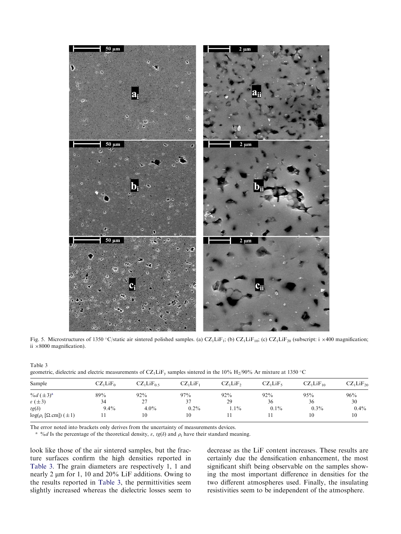

Fig. 5. Microstructures of 1350 °C/static air sintered polished samples. (a) CZ<sub>1</sub>LiF<sub>1</sub>; (b) CZ<sub>1</sub>LiF<sub>10</sub>; (c) CZ<sub>1</sub>LiF<sub>20</sub> (subscript: i ×400 magnification; ii  $\times 8000$  magnification).

| geometric, dielectric and electric measurements of CZ <sub>1</sub> LiF <sub>v</sub> samples sintered in the 10% H <sub>2</sub> /90% Ar mixture at 1350 °C |                                  |             |             |            |             |                |                |
|-----------------------------------------------------------------------------------------------------------------------------------------------------------|----------------------------------|-------------|-------------|------------|-------------|----------------|----------------|
| Sample                                                                                                                                                    | CZ <sub>1</sub> LiF <sub>0</sub> | $CZ_1LiF_0$ | $CZ_1LiF_1$ | $CZ_1LiF2$ | $CZ_1LiF_5$ | $CZ_1LiF_{10}$ | $CZ_1LiF_{20}$ |
| % $d (\pm 3)^a$                                                                                                                                           | 89%                              | 92%         | 97%         | $92\%$     | $92\%$      | 95%            | 96%            |
| $\varepsilon$ ( $\pm$ 3)                                                                                                                                  | 34                               |             |             | 29         | 36          | 36             | 30             |
| $tg(\delta)$                                                                                                                                              | $9.4\%$                          | $4.0\%$     | $0.2\%$     | $1.1\%$    | $0.1\%$     | $0.3\%$        | $0.4\%$        |
| $log(\rho_i$ [ $\Omega$ .cm]) ( $\pm 1$ )                                                                                                                 |                                  | 10          | 10          |            |             | 10             | 10             |

The error noted into brackets only derives from the uncertainty of measurements devices.

<sup>a</sup> %*d* Is the percentage of the theoretical density,  $\varepsilon$ ,  $tg(\delta)$  and  $\rho_i$  have their standard meaning.

look like those of the air sintered samples, but the fracture surfaces confirm the high densities reported in Table 3. The grain diameters are respectively 1, 1 and nearly 2  $\mu$ m for 1, 10 and 20% LiF additions. Owing to the results reported in Table 3, the permittivities seem slightly increased whereas the dielectric losses seem to

Table 3

decrease as the LiF content increases. These results are certainly due the densification enhancement, the most significant shift being observable on the samples showing the most important difference in densities for the two different atmospheres used. Finally, the insulating resistivities seem to be independent of the atmosphere.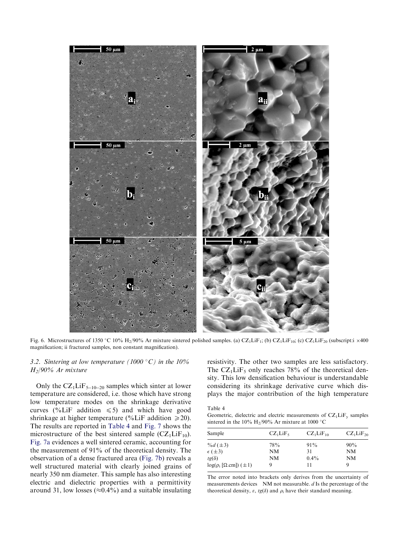

Fig. 6. Microstructures of 1350 °C 10% H<sub>2</sub>/90% Ar mixture sintered polished samples. (a) CZ<sub>1</sub>LiF<sub>1</sub>; (b) CZ<sub>1</sub>LiF<sub>10</sub>; (c) CZ<sub>1</sub>LiF<sub>20</sub> (subscript:i ×400 magnification; ii fractured samples, non constant magnification).

# 3.2. Sintering at low temperature (1000 °C) in the 10% H2/90% Ar mixture

Only the  $CZ_1LIF_{5-10-20}$  samples which sinter at lower temperature are considered, i.e. those which have strong low temperature modes on the shrinkage derivative curves (%LiF addition  $\leq 5$ ) and which have good shrinkage at higher temperature (%LiF addition  $\geq 20$ ). The results are reported in Table 4 and Fig. 7 shows the microstructure of the best sintered sample  $(CZ_1LiF_{10})$ . Fig. 7a evidences a well sintered ceramic, accounting for the measurement of 91% of the theoretical density. The observation of a dense fractured area (Fig. 7b) reveals a well structured material with clearly joined grains of nearly 350 nm diameter. This sample has also interesting electric and dielectric properties with a permittivity around 31, low losses ( $\approx 0.4\%$ ) and a suitable insulating resistivity. The other two samples are less satisfactory. The  $CZ_1LiF_5$  only reaches 78% of the theoretical density. This low densification behaviour is understandable considering its shrinkage derivative curve which displays the major contribution of the high temperature

Table 4

Geometric, dielectric and electric measurements of  $CZ_1LiF_y$  samples sintered in the 10% H<sub>2</sub>/90% Ar mixture at 1000 °C

| Sample                            | $CZ_1LiF_5$ | $CZ_1LiF_{10}$ | $CZ_1LiF_{20}$ |
|-----------------------------------|-------------|----------------|----------------|
| % $d (\pm 3)$                     | 78%         | $91\%$         | 90%            |
| $\epsilon$ ( $\pm$ 3)             | NM          | 31             | <b>NM</b>      |
| $tg(\delta)$                      | NM          | $0.4\%$        | NM             |
| $log(\rho_i [\Omega.cm]) (\pm 1)$ |             | 11             | Q              |

The error noted into brackets only derives from the uncertainty of measurements devices  $N/M$  not measurable.  $d$  Is the percentage of the theoretical density,  $\varepsilon$ ,  $tg(\delta)$  and  $\rho_i$  have their standard meaning.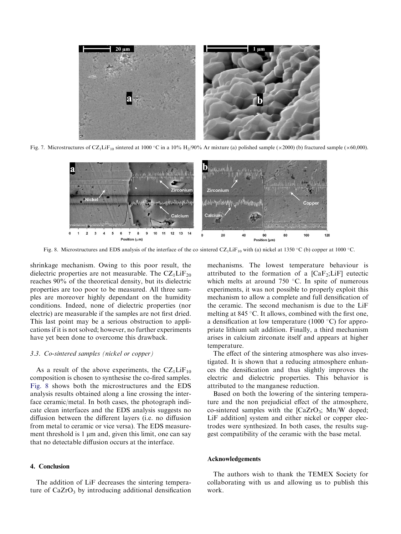

Fig. 7. Microstructures of CZ<sub>1</sub>LiF<sub>10</sub> sintered at 1000 °C in a 10% H<sub>2</sub>/90% Ar mixture (a) polished sample ( $\times$ 2000) (b) fractured sample ( $\times$ 60,000).



Fig. 8. Microstructures and EDS analysis of the interface of the co sintered  $CZ_1LiF_{10}$  with (a) nickel at 1350 °C (b) copper at 1000 °C.

shrinkage mechanism. Owing to this poor result, the dielectric properties are not measurable. The  $CZ_1LiF_{20}$ reaches 90% of the theoretical density, but its dielectric properties are too poor to be measured. All three samples are moreover highly dependant on the humidity conditions. Indeed, none of dielectric properties (nor electric) are measurable if the samples are not first dried. This last point may be a serious obstruction to applications if it is not solved; however, no further experiments have yet been done to overcome this drawback.

#### 3.3. Co-sintered samples (nickel or copper)

As a result of the above experiments, the  $CZ_1LIF_{10}$ composition is chosen to synthesise the co-fired samples. Fig. 8 shows both the microstructures and the EDS analysis results obtained along a line crossing the interface ceramic/metal. In both cases, the photograph indicate clean interfaces and the EDS analysis suggests no diffusion between the different layers (i.e. no diffusion from metal to ceramic or vice versa). The EDS measurement threshold is 1 um and, given this limit, one can say that no detectable diffusion occurs at the interface.

## 4. Conclusion

The addition of LiF decreases the sintering temperature of  $CaZrO<sub>3</sub>$  by introducing additional densification mechanisms. The lowest temperature behaviour is attributed to the formation of a  $[CaF<sub>2</sub>;LiF]$  eutectic which melts at around  $750$  °C. In spite of numerous experiments, it was not possible to properly exploit this mechanism to allow a complete and full densification of the ceramic. The second mechanism is due to the LiF melting at 845 °C. It allows, combined with the first one, a densification at low temperature (1000 $\degree$ C) for appropriate lithium salt addition. Finally, a third mechanism arises in calcium zirconate itself and appears at higher temperature.

The effect of the sintering atmosphere was also investigated. It is shown that a reducing atmosphere enhances the densification and thus slightly improves the electric and dielectric properties. This behavior is attributed to the manganese reduction.

Based on both the lowering of the sintering temperature and the non prejudicial effect of the atmosphere, co-sintered samples with the  $[CaZrO<sub>3</sub>; Mn/W$  doped; LiF addition] system and either nickel or copper electrodes were synthesized. In both cases, the results suggest compatibility of the ceramic with the base metal.

### Acknowledgements

The authors wish to thank the TEMEX Society for collaborating with us and allowing us to publish this work.